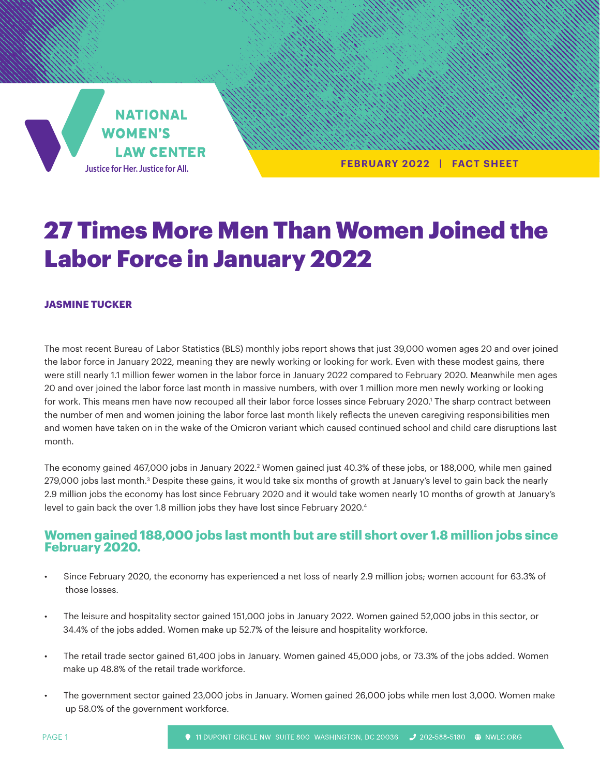**NATIONAL WOMEN'S LAW CENTER** Justice for Her. Justice for All.

**FEBRUARY 2022 | FACT SHEET**

# 27 Times More Men Than Women Joined the Labor Force in January 2022

#### **JASMINE TUCKER**

The most recent Bureau of Labor Statistics (BLS) monthly jobs report shows that just 39,000 women ages 20 and over joined the labor force in January 2022, meaning they are newly working or looking for work. Even with these modest gains, there were still nearly 1.1 million fewer women in the labor force in January 2022 compared to February 2020. Meanwhile men ages 20 and over joined the labor force last month in massive numbers, with over 1 million more men newly working or looking for work. This means men have now recouped all their labor force losses since February 2020.<sup>1</sup> The sharp contract between the number of men and women joining the labor force last month likely reflects the uneven caregiving responsibilities men and women have taken on in the wake of the Omicron variant which caused continued school and child care disruptions last month.

The economy gained 467,000 jobs in January 2022.<sup>2</sup> Women gained just 40.3% of these jobs, or 188,000, while men gained 279,000 jobs last month.<sup>3</sup> Despite these gains, it would take six months of growth at January's level to gain back the nearly 2.9 million jobs the economy has lost since February 2020 and it would take women nearly 10 months of growth at January's level to gain back the over 1.8 million jobs they have lost since February 2020.4

#### **Women gained 188,000 jobs last month but are still short over 1.8 million jobs since February 2020.**

- Since February 2020, the economy has experienced a net loss of nearly 2.9 million jobs; women account for 63.3% of those losses.
- The leisure and hospitality sector gained 151,000 jobs in January 2022. Women gained 52,000 jobs in this sector, or 34.4% of the jobs added. Women make up 52.7% of the leisure and hospitality workforce.
- The retail trade sector gained 61,400 jobs in January. Women gained 45,000 jobs, or 73.3% of the jobs added. Women make up 48.8% of the retail trade workforce.
- The government sector gained 23,000 jobs in January. Women gained 26,000 jobs while men lost 3,000. Women make up 58.0% of the government workforce.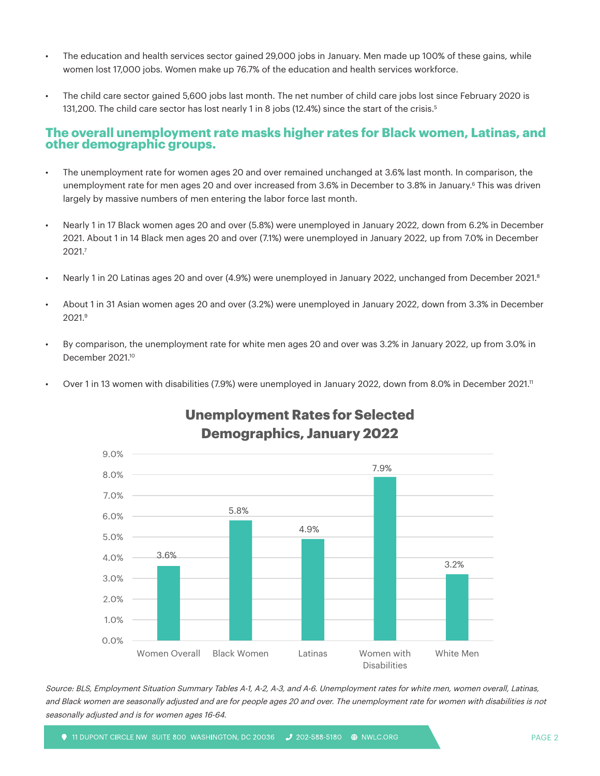- The education and health services sector gained 29,000 jobs in January. Men made up 100% of these gains, while women lost 17,000 jobs. Women make up 76.7% of the education and health services workforce.
- The child care sector gained 5,600 jobs last month. The net number of child care jobs lost since February 2020 is 131,200. The child care sector has lost nearly 1 in 8 jobs (12.4%) since the start of the crisis.5

#### **The overall unemployment rate masks higher rates for Black women, Latinas, and other demographic groups.**

- The unemployment rate for women ages 20 and over remained unchanged at 3.6% last month. In comparison, the unemployment rate for men ages 20 and over increased from 3.6% in December to 3.8% in January.<sup>6</sup> This was driven largely by massive numbers of men entering the labor force last month.
- Nearly 1 in 17 Black women ages 20 and over (5.8%) were unemployed in January 2022, down from 6.2% in December 2021. About 1 in 14 Black men ages 20 and over (7.1%) were unemployed in January 2022, up from 7.0% in December 2021.7
- Nearly 1 in 20 Latinas ages 20 and over (4.9%) were unemployed in January 2022, unchanged from December 2021.8
- About 1 in 31 Asian women ages 20 and over (3.2%) were unemployed in January 2022, down from 3.3% in December 2021.9
- By comparison, the unemployment rate for white men ages 20 and over was 3.2% in January 2022, up from 3.0% in December 2021.10
- Over 1 in 13 women with disabilities (7.9%) were unemployed in January 2022, down from 8.0% in December 2021.11



## **Unemployment Rates for Selected Demographics, January 2022**

Source: BLS, Employment Situation Summary Tables A-1, A-2, A-3, and A-6. Unemployment rates for white men, women overall, Latinas, and Black women are seasonally adjusted and are for people ages 20 and over. The unemployment rate for women with disabilities is not seasonally adjusted and is for women ages 16-64.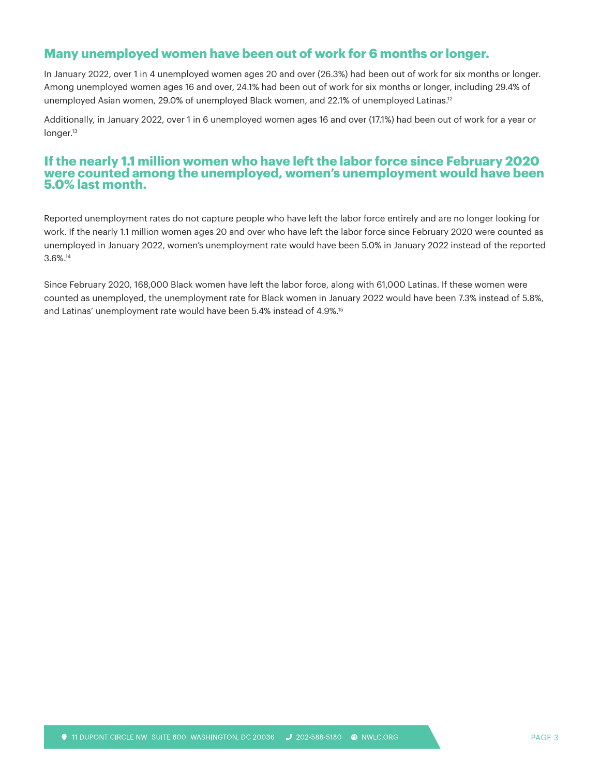### **Many unemployed women have been out of work for 6 months or longer.**

In January 2022, over 1 in 4 unemployed women ages 20 and over (26.3%) had been out of work for six months or longer. Among unemployed women ages 16 and over, 24.1% had been out of work for six months or longer, including 29.4% of unemployed Asian women, 29.0% of unemployed Black women, and 22.1% of unemployed Latinas.<sup>12</sup>

Additionally, in January 2022, over 1 in 6 unemployed women ages 16 and over (17.1%) had been out of work for a year or longer.<sup>13</sup>

#### **If the nearly 1.1 million women who have left the labor force since February 2020 were counted among the unemployed, women's unemployment would have been 5.0% last month.**

Reported unemployment rates do not capture people who have left the labor force entirely and are no longer looking for work. If the nearly 1.1 million women ages 20 and over who have left the labor force since February 2020 were counted as unemployed in January 2022, women's unemployment rate would have been 5.0% in January 2022 instead of the reported 3.6%.14

Since February 2020, 168,000 Black women have left the labor force, along with 61,000 Latinas. If these women were counted as unemployed, the unemployment rate for Black women in January 2022 would have been 7.3% instead of 5.8%, and Latinas' unemployment rate would have been 5.4% instead of 4.9%.15